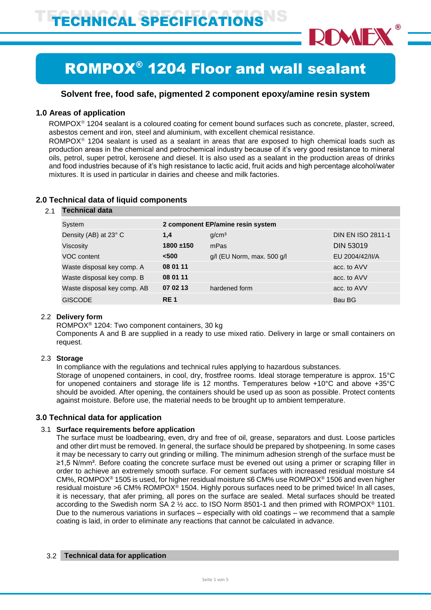

# ROMPOX® 1204 Floor and wall sealant

# **Solvent free, food safe, pigmented 2 component epoxy/amine resin system**

# **1.0 Areas of application**

 $ROMPOX<sup>®</sup> 1204$  sealant is a coloured coating for cement bound surfaces such as concrete, plaster, screed, asbestos cement and iron, steel and aluminium, with excellent chemical resistance.

ROMPO $X^{\circ}$  1204 sealant is used as a sealant in areas that are exposed to high chemical loads such as production areas in the chemical and petrochemical industry because of it's very good resistance to mineral oils, petrol, super petrol, kerosene and diesel. It is also used as a sealant in the production areas of drinks and food industries because of it's high resistance to lactic acid, fruit acids and high percentage alcohol/water mixtures. It is used in particular in dairies and cheese and milk factories.

# 2.1 **Technical data** System **2 component EP/amine resin system** Density (AB) at 23° C **1,4** g/cm³ DIN EN ISO 2811-1 Viscosity **1800 ±150** mPas DIN 53019 VOC content **<500** g/l (EU Norm, max. 500 g/l EU 2004/42/II/A Waste disposal key comp. A **08 01 11 acc. to AVV acc. to AVV** Waste disposal key comp. B **08 01 11 b** 07 **12 acc. to AVV** Waste disposal key comp. AB **07 02 13** hardened form **acc.** to AVV GISCODE **RE 1** Bau BG

# **2.0 Technical data of liquid components**

# 2.2 **Delivery form**

ROMPOX® 1204: Two component containers, 30 kg

Components A and B are supplied in a ready to use mixed ratio. Delivery in large or small containers on request.

# 2.3 **Storage**

In compliance with the regulations and technical rules applying to hazardous substances.

Storage of unopened containers, in cool, dry, frostfree rooms. Ideal storage temperature is approx. 15°C for unopened containers and storage life is 12 months. Temperatures below +10°C and above +35°C should be avoided. After opening, the containers should be used up as soon as possible. Protect contents against moisture. Before use, the material needs to be brought up to ambient temperature.

# **3.0 Technical data for application**

## 3.1 **Surface requirements before application**

The surface must be loadbearing, even, dry and free of oil, grease, separators and dust. Loose particles and other dirt must be removed. In general, the surface should be prepared by shotpeening. In some cases it may be necessary to carry out grinding or milling. The minimum adhesion strengh of the surface must be ≥1,5 N/mm². Before coating the concrete surface must be evened out using a primer or scraping filler in order to achieve an extremely smooth surface. For cement surfaces with increased residual moisture ≤4 CM%, ROMPOX® 1505 is used, for higher residual moisture ≤6 CM% use ROMPOX® 1506 and even higher residual moisture >6 CM% ROMPOX® 1504. Highly porous surfaces need to be primed twice! In all cases, it is necessary, that afer priming, all pores on the surface are sealed. Metal surfaces should be treated according to the Swedish norm SA 2 ½ acc. to ISO Norm 8501-1 and then primed with ROMPOX® 1101. Due to the numerous variations in surfaces – especially with old coatings – we recommend that a sample coating is laid, in order to eliminate any reactions that cannot be calculated in advance.

## 3.2 **Technical data for application**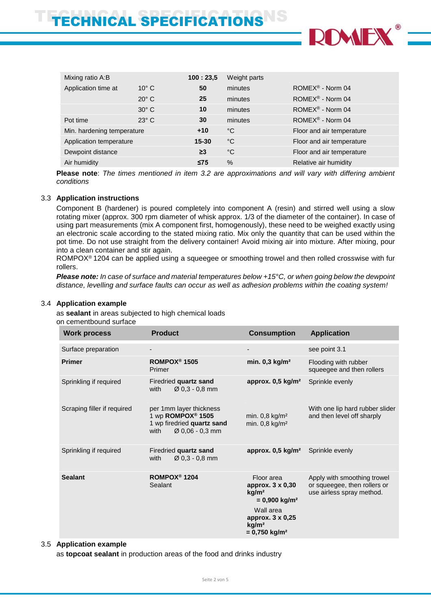

| Mixing ratio A:B           |                | 100:23.5  | Weight parts |                               |
|----------------------------|----------------|-----------|--------------|-------------------------------|
| Application time at        | $10^{\circ}$ C | 50        | minutes      | ROMEX <sup>®</sup> - Norm 04  |
|                            | $20^\circ$ C   | 25        | minutes      | ROMEX <sup>®</sup> - Norm 04  |
|                            | $30^\circ$ C   | 10        | minutes      | $ROMEX^{\circledR}$ - Norm 04 |
| Pot time                   | $23^\circ$ C   | 30        | minutes      | $ROMEX^{\circledR}$ - Norm 04 |
| Min. hardening temperature |                | $+10$     | °C           | Floor and air temperature     |
| Application temperature    |                | $15 - 30$ | $^{\circ}$ C | Floor and air temperature     |
| Dewpoint distance          |                | $\geq$ 3  | $^{\circ}$ C | Floor and air temperature     |
| Air humidity               |                | $\leq$ 75 | $\%$         | Relative air humidity         |

**Please note**: *The times mentioned in item 3.2 are approximations and will vary with differing ambient conditions*

# 3.3 **Application instructions**

Component B (hardener) is poured completely into component A (resin) and stirred well using a slow rotating mixer (approx. 300 rpm diameter of whisk approx. 1/3 of the diameter of the container). In case of using part measurements (mix A component first, homogenously), these need to be weighed exactly using an electronic scale according to the stated mixing ratio. Mix only the quantity that can be used within the pot time. Do not use straight from the delivery container! Avoid mixing air into mixture. After mixing, pour into a clean container and stir again.

ROMPOX<sup>®</sup> 1204 can be applied using a squeegee or smoothing trowel and then rolled crosswise with fur rollers.

*Please note: In case of surface and material temperatures below +15°C, or when going below the dewpoint distance, levelling and surface faults can occur as well as adhesion problems within the coating system!*

## 3.4 **Application example**

as **sealant** in areas subjected to high chemical loads on cementbound surface

| <b>Work process</b>         | <b>Product</b>                                                                                                    | <b>Consumption</b>                                                                                                                                                      | <b>Application</b>                                                                       |
|-----------------------------|-------------------------------------------------------------------------------------------------------------------|-------------------------------------------------------------------------------------------------------------------------------------------------------------------------|------------------------------------------------------------------------------------------|
| Surface preparation         |                                                                                                                   |                                                                                                                                                                         | see point 3.1                                                                            |
| <b>Primer</b>               | ROMPOX <sup>®</sup> 1505<br>Primer                                                                                | min. $0,3$ kg/m <sup>2</sup>                                                                                                                                            | Flooding with rubber<br>squeegee and then rollers                                        |
| Sprinkling if required      | Firedried quartz sand<br>$\varnothing$ 0,3 - 0,8 mm<br>with                                                       | approx. $0,5$ kg/m <sup>2</sup>                                                                                                                                         | Sprinkle evenly                                                                          |
| Scraping filler if required | per 1mm layer thickness<br>1 wp ROMPOX <sup>®</sup> 1505<br>1 wp firedried quartz sand<br>Ø 0,06 - 0,3 mm<br>with | min. $0.8 \text{ kg/m}^2$<br>min. $0,8$ kg/m <sup>2</sup>                                                                                                               | With one lip hard rubber slider<br>and then level off sharply                            |
| Sprinkling if required      | Firedried quartz sand<br>$\varnothing$ 0.3 - 0.8 mm<br>with                                                       | approx. $0,5 \text{ kg/m}^2$                                                                                                                                            | Sprinkle evenly                                                                          |
| <b>Sealant</b>              | ROMPOX <sup>®</sup> 1204<br>Sealant                                                                               | Floor area<br>approx. 3 x 0,30<br>kg/m <sup>2</sup><br>$= 0,900$ kg/m <sup>2</sup><br>Wall area<br>approx. 3 x 0,25<br>kg/m <sup>2</sup><br>$= 0,750$ kg/m <sup>2</sup> | Apply with smoothing trowel<br>or squeegee, then rollers or<br>use airless spray method. |

#### 3.5 **Application example**

as **topcoat sealant** in production areas of the food and drinks industry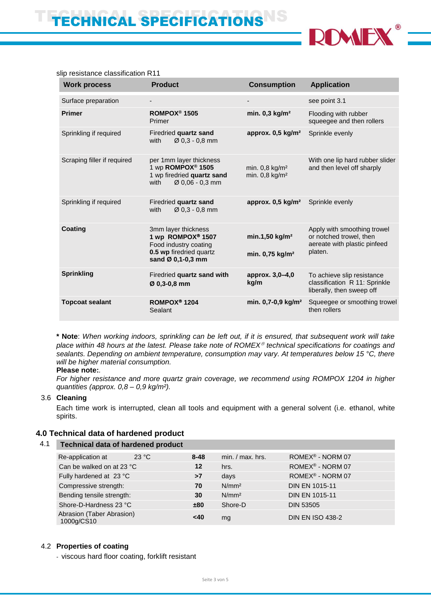

| <b>Work process</b>         | <b>Product</b>                                                                                                                | <b>Consumption</b>                                           | <b>Application</b>                                                                                |
|-----------------------------|-------------------------------------------------------------------------------------------------------------------------------|--------------------------------------------------------------|---------------------------------------------------------------------------------------------------|
| Surface preparation         |                                                                                                                               |                                                              | see point 3.1                                                                                     |
| <b>Primer</b>               | ROMPOX <sup>®</sup> 1505<br>Primer                                                                                            | min. $0,3$ kg/m <sup>2</sup>                                 | Flooding with rubber<br>squeegee and then rollers                                                 |
| Sprinkling if required      | Firedried quartz sand<br>$\varnothing$ 0,3 - 0,8 mm<br>with                                                                   | approx. 0,5 kg/m <sup>2</sup>                                | Sprinkle evenly                                                                                   |
| Scraping filler if required | per 1mm layer thickness<br>1 wp ROMPOX <sup>®</sup> 1505<br>1 wp firedried quartz sand<br>$\varnothing$ 0,06 - 0,3 mm<br>with | min. $0,8$ kg/m <sup>2</sup><br>min. $0.8$ kg/m <sup>2</sup> | With one lip hard rubber slider<br>and then level off sharply                                     |
| Sprinkling if required      | Firedried quartz sand<br>$\varnothing$ 0,3 - 0,8 mm<br>with                                                                   | approx. $0,5$ kg/m <sup>2</sup>                              | Sprinkle evenly                                                                                   |
| <b>Coating</b>              | 3mm layer thickness<br>1 wp ROMPOX® 1507<br>Food industry coating<br>0.5 wp firedried quartz<br>sand Ø 0,1-0,3 mm             | min.1,50 kg/m <sup>2</sup><br>min. 0,75 kg/m <sup>2</sup>    | Apply with smoothing trowel<br>or notched trowel, then<br>aereate with plastic pinfeed<br>platen. |
| <b>Sprinkling</b>           | Firedried quartz sand with<br>Ø 0,3-0,8 mm                                                                                    | approx. 3,0-4,0<br>kg/m                                      | To achieve slip resistance<br>classification R 11: Sprinkle<br>liberally, then sweep off          |
| <b>Topcoat sealant</b>      | ROMPOX <sup>®</sup> 1204<br>Sealant                                                                                           | min. 0,7-0,9 kg/m <sup>2</sup>                               | Squeegee or smoothing trowel<br>then rollers                                                      |

slip resistance classification R11

**\* Note**: *When working indoors, sprinkling can be left out, if it is ensured, that subsequent work will take place within 48 hours at the latest. Please take note of ROMEX technical specifications for coatings and sealants. Depending on ambient temperature, consumption may vary. At temperatures below 15 °C, there will be higher material consumption.*

## **Please note:***.*

*For higher resistance and more quartz grain coverage, we recommend using ROMPOX 1204 in higher quantities (approx. 0,8 – 0,9 kg/m²).*

# 3.6 **Cleaning**

Each time work is interrupted, clean all tools and equipment with a general solvent (i.e. ethanol, white spirits.

# **4.0 Technical data of hardened product**

#### 4.1 **Technical data of hardened product**

| 23 °C<br>Re-application at              | $8 - 48$ | $min. / max.$ hrs. | ROMEX <sup>®</sup> - NORM 07 |
|-----------------------------------------|----------|--------------------|------------------------------|
| Can be walked on at 23 °C               | $12 \,$  | hrs.               | ROMEX <sup>®</sup> - NORM 07 |
| Fully hardened at 23 °C                 | >7       | days               | ROMEX <sup>®</sup> - NORM 07 |
| Compressive strength:                   | 70       | N/mm <sup>2</sup>  | <b>DIN EN 1015-11</b>        |
| Bending tensile strength:               | 30       | N/mm <sup>2</sup>  | <b>DIN EN 1015-11</b>        |
| Shore-D-Hardness 23 °C                  | ±80      | Shore-D            | <b>DIN 53505</b>             |
| Abrasion (Taber Abrasion)<br>1000g/CS10 | <40      | mg                 | <b>DIN EN ISO 438-2</b>      |

# 4.2 **Properties of coating**

- viscous hard floor coating, forklift resistant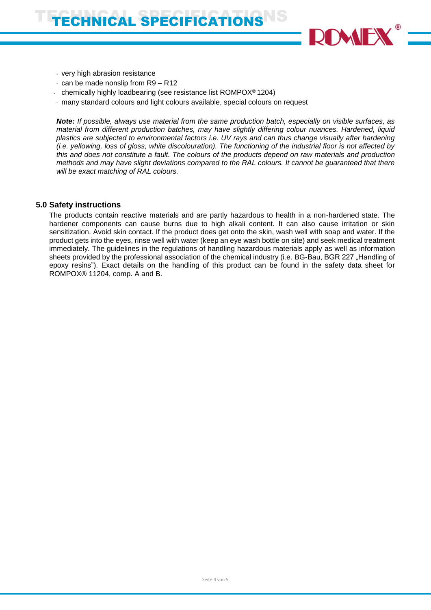

- very high abrasion resistance
- can be made nonslip from R9 R12
- chemically highly loadbearing (see resistance list ROMPOX® 1204)
- many standard colours and light colours available, special colours on request

*Note: If possible, always use material from the same production batch, especially on visible surfaces, as material from different production batches, may have slightly differing colour nuances. Hardened, liquid plastics are subjected to environmental factors i.e. UV rays and can thus change visually after hardening (i.e. yellowing, loss of gloss, white discolouration). The functioning of the industrial floor is not affected by this and does not constitute a fault. The colours of the products depend on raw materials and production methods and may have slight deviations compared to the RAL colours. It cannot be guaranteed that there will be exact matching of RAL colours.*

# **5.0 Safety instructions**

The products contain reactive materials and are partly hazardous to health in a non-hardened state. The hardener components can cause burns due to high alkali content. It can also cause irritation or skin sensitization. Avoid skin contact. If the product does get onto the skin, wash well with soap and water. If the product gets into the eyes, rinse well with water (keep an eye wash bottle on site) and seek medical treatment immediately. The guidelines in the regulations of handling hazardous materials apply as well as information sheets provided by the professional association of the chemical industry (i.e. BG-Bau, BGR 227 "Handling of epoxy resins"). Exact details on the handling of this product can be found in the safety data sheet for ROMPOX® 11204, comp. A and B.